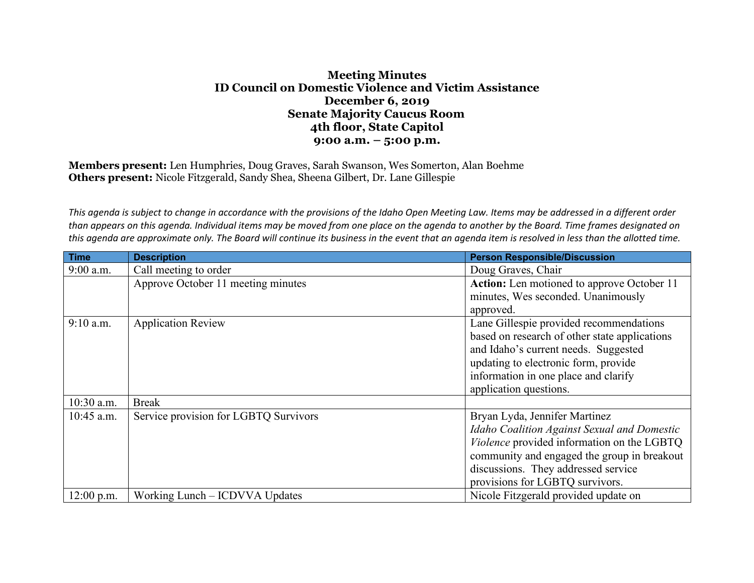## **Meeting Minutes ID Council on Domestic Violence and Victim Assistance December 6, 2019 Senate Majority Caucus Room 4th floor, State Capitol 9:00 a.m. – 5:00 p.m.**

**Members present:** Len Humphries, Doug Graves, Sarah Swanson, Wes Somerton, Alan Boehme **Others present:** Nicole Fitzgerald, Sandy Shea, Sheena Gilbert, Dr. Lane Gillespie

*This agenda is subject to change in accordance with the provisions of the Idaho Open Meeting Law. Items may be addressed in a different order than appears on this agenda. Individual items may be moved from one place on the agenda to another by the Board. Time frames designated on this agenda are approximate only. The Board will continue its business in the event that an agenda item is resolved in less than the allotted time.*

| <b>Time</b>  | <b>Description</b>                    | <b>Person Responsible/Discussion</b>              |
|--------------|---------------------------------------|---------------------------------------------------|
| 9:00 a.m.    | Call meeting to order                 | Doug Graves, Chair                                |
|              | Approve October 11 meeting minutes    | Action: Len motioned to approve October 11        |
|              |                                       | minutes, Wes seconded. Unanimously                |
|              |                                       | approved.                                         |
| $9:10$ a.m.  | <b>Application Review</b>             | Lane Gillespie provided recommendations           |
|              |                                       | based on research of other state applications     |
|              |                                       | and Idaho's current needs. Suggested              |
|              |                                       | updating to electronic form, provide              |
|              |                                       | information in one place and clarify              |
|              |                                       | application questions.                            |
| 10:30 a.m.   | <b>Break</b>                          |                                                   |
| 10:45 a.m.   | Service provision for LGBTQ Survivors | Bryan Lyda, Jennifer Martinez                     |
|              |                                       | Idaho Coalition Against Sexual and Domestic       |
|              |                                       | <i>Violence</i> provided information on the LGBTQ |
|              |                                       | community and engaged the group in breakout       |
|              |                                       | discussions. They addressed service               |
|              |                                       | provisions for LGBTQ survivors.                   |
| $12:00$ p.m. | Working Lunch – ICDVVA Updates        | Nicole Fitzgerald provided update on              |